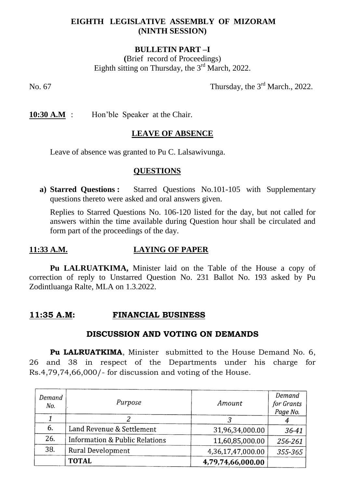## **EIGHTH LEGISLATIVE ASSEMBLY OF MIZORAM (NINTH SESSION)**

## **BULLETIN PART –I**

**(**Brief record of Proceedings) Eighth sitting on Thursday, the  $3<sup>rd</sup>$  March, 2022.

No. 67 Thursday, the  $3<sup>rd</sup>$  March., 2022.

**10:30 A.M** : Hon'ble Speaker at the Chair.

#### **LEAVE OF ABSENCE**

Leave of absence was granted to Pu C. Lalsawivunga.

#### **QUESTIONS**

**a) Starred Questions :** Starred Questions No.101-105 with Supplementary questions thereto were asked and oral answers given.

Replies to Starred Questions No. 106-120 listed for the day, but not called for answers within the time available during Question hour shall be circulated and form part of the proceedings of the day.

#### **11:33 A.M. LAYING OF PAPER**

**Pu LALRUATKIMA,** Minister laid on the Table of the House a copy of correction of reply to Unstarred Question No. 231 Ballot No. 193 asked by Pu Zodintluanga Ralte, MLA on 1.3.2022.

#### **11:35 A.M: FINANCIAL BUSINESS**

#### **DISCUSSION AND VOTING ON DEMANDS**

**Pu LALRUATKIMA.** Minister submitted to the House Demand No. 6, 26 and 38 in respect of the Departments under his charge for Rs.4,79,74,66,000/- for discussion and voting of the House.

| Demand<br>No. | Purpose                        | Amount            | Demand<br>for Grants<br>Page No. |
|---------------|--------------------------------|-------------------|----------------------------------|
|               |                                |                   |                                  |
| 6.            | Land Revenue & Settlement      | 31,96,34,000.00   | 36-41                            |
| 26.           | Information & Public Relations | 11,60,85,000.00   | 256-261                          |
| 38.           | <b>Rural Development</b>       | 4,36,17,47,000.00 | 355-365                          |
|               | <b>TOTAL</b>                   | 4,79,74,66,000.00 |                                  |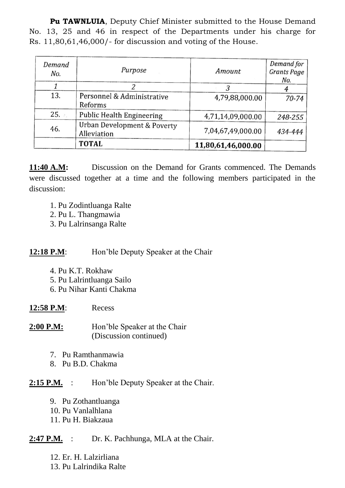**Pu TAWNLUIA**, Deputy Chief Minister submitted to the House Demand No. 13, 25 and 46 in respect of the Departments under his charge for Rs. 11,80,61,46,000/- for discussion and voting of the House.

| Demand<br>No. | Purpose                                               | Amount             | Demand for<br><b>Grants Page</b><br>No. |
|---------------|-------------------------------------------------------|--------------------|-----------------------------------------|
|               |                                                       |                    |                                         |
| 13.           | Personnel & Administrative<br>Reforms                 | 4,79,88,000.00     | $70 - 74$                               |
| 25.           | <b>Public Health Engineering</b>                      | 4,71,14,09,000.00  | 248-255                                 |
| 46.           | <b>Urban Development &amp; Poverty</b><br>Alleviation | 7,04,67,49,000.00  | 434-444                                 |
|               | <b>TOTAL</b>                                          | 11,80,61,46,000.00 |                                         |

**11:40 A.M:** Discussion on the Demand for Grants commenced. The Demands were discussed together at a time and the following members participated in the discussion:

- 1. Pu Zodintluanga Ralte
- 2. Pu L. Thangmawia
- 3. Pu Lalrinsanga Ralte

# **12:18 P.M:** Hon'ble Deputy Speaker at the Chair

- 4. Pu K.T. Rokhaw
- 5. Pu Lalrintluanga Sailo
- 6. Pu Nihar Kanti Chakma

# **12:58 P.M**: Recess

- **2:00 P.M:** Hon'ble Speaker at the Chair (Discussion continued)
	- 7. Pu Ramthanmawia
	- 8. Pu B.D. Chakma

# **2:15 P.M.** : Hon'ble Deputy Speaker at the Chair.

- 9. Pu Zothantluanga
- 10. Pu Vanlalhlana
- 11. Pu H. Biakzaua

# 2:47 P.M. : Dr. K. Pachhunga, MLA at the Chair.

- 12. Er. H. Lalzirliana
- 13. Pu Lalrindika Ralte